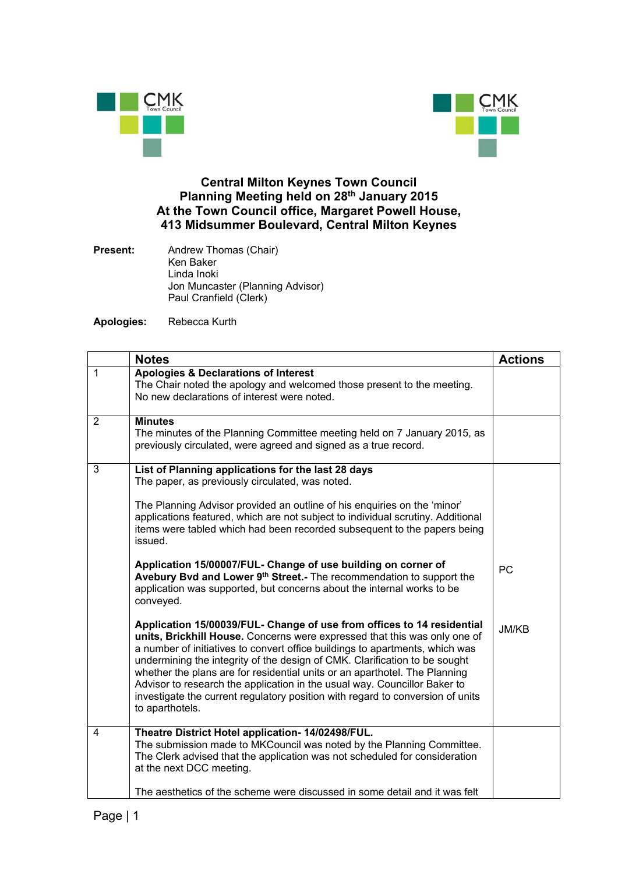



## **Central Milton Keynes Town Council Planning Meeting held on 28th January 2015 At the Town Council office, Margaret Powell House, 413 Midsummer Boulevard, Central Milton Keynes**

**Present:** Andrew Thomas (Chair) Ken Baker Linda Inoki Jon Muncaster (Planning Advisor) Paul Cranfield (Clerk)

**Apologies:** Rebecca Kurth

|              | <b>Notes</b>                                                                                                                                                                                                                                                                                                                                                                                                                                                                                                                                                                      | <b>Actions</b> |
|--------------|-----------------------------------------------------------------------------------------------------------------------------------------------------------------------------------------------------------------------------------------------------------------------------------------------------------------------------------------------------------------------------------------------------------------------------------------------------------------------------------------------------------------------------------------------------------------------------------|----------------|
| $\mathbf{1}$ | <b>Apologies &amp; Declarations of Interest</b><br>The Chair noted the apology and welcomed those present to the meeting.<br>No new declarations of interest were noted.                                                                                                                                                                                                                                                                                                                                                                                                          |                |
| 2            | <b>Minutes</b><br>The minutes of the Planning Committee meeting held on 7 January 2015, as<br>previously circulated, were agreed and signed as a true record.                                                                                                                                                                                                                                                                                                                                                                                                                     |                |
| 3            | List of Planning applications for the last 28 days<br>The paper, as previously circulated, was noted.                                                                                                                                                                                                                                                                                                                                                                                                                                                                             |                |
|              | The Planning Advisor provided an outline of his enquiries on the 'minor'<br>applications featured, which are not subject to individual scrutiny. Additional<br>items were tabled which had been recorded subsequent to the papers being<br>issued.                                                                                                                                                                                                                                                                                                                                |                |
|              | Application 15/00007/FUL- Change of use building on corner of<br>Avebury Bvd and Lower 9 <sup>th</sup> Street.- The recommendation to support the<br>application was supported, but concerns about the internal works to be<br>conveyed.                                                                                                                                                                                                                                                                                                                                          | <b>PC</b>      |
|              | Application 15/00039/FUL- Change of use from offices to 14 residential<br>units, Brickhill House. Concerns were expressed that this was only one of<br>a number of initiatives to convert office buildings to apartments, which was<br>undermining the integrity of the design of CMK. Clarification to be sought<br>whether the plans are for residential units or an aparthotel. The Planning<br>Advisor to research the application in the usual way. Councillor Baker to<br>investigate the current regulatory position with regard to conversion of units<br>to aparthotels. | JM/KB          |
| 4            | Theatre District Hotel application- 14/02498/FUL.<br>The submission made to MKCouncil was noted by the Planning Committee.<br>The Clerk advised that the application was not scheduled for consideration<br>at the next DCC meeting.                                                                                                                                                                                                                                                                                                                                              |                |
|              | The aesthetics of the scheme were discussed in some detail and it was felt                                                                                                                                                                                                                                                                                                                                                                                                                                                                                                        |                |